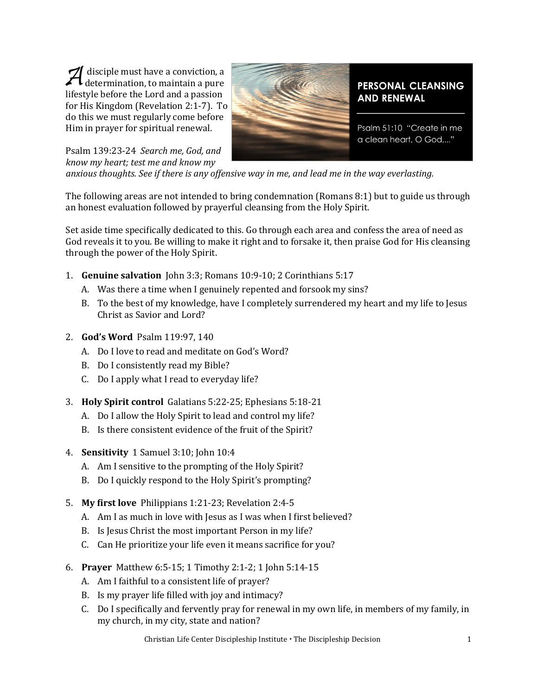disciple must have a conviction, a<br>determination, to maintain a pure<br>lifestyle before the Lord and a passion determination, to maintain a pure lifestyle before the Lord and a passion for His Kingdom (Revelation 2:1-7). To do this we must regularly come before Him in prayer for spiritual renewal.



**PERSONAL CLEANSING AND RENEWAL** 

Psalm 51:10 "Create in me a clean heart, O God,..."

Psalm 139:23-24 *Search me, God, and know my heart; test me and know my* 

*anxious thoughts. See if there is any offensive way in me, and lead me in the way everlasting.*

The following areas are not intended to bring condemnation (Romans 8:1) but to guide us through an honest evaluation followed by prayerful cleansing from the Holy Spirit.

Set aside time specifically dedicated to this. Go through each area and confess the area of need as God reveals it to you. Be willing to make it right and to forsake it, then praise God for His cleansing through the power of the Holy Spirit.

- 1. **Genuine salvation** John 3:3; Romans 10:9-10; 2 Corinthians 5:17
	- A. Was there a time when I genuinely repented and forsook my sins?
	- B. To the best of my knowledge, have I completely surrendered my heart and my life to Jesus Christ as Savior and Lord?
- 2. **God's Word** Psalm 119:97, 140
	- A. Do I love to read and meditate on God's Word?
	- B. Do I consistently read my Bible?
	- C. Do I apply what I read to everyday life?
- 3. **Holy Spirit control** Galatians 5:22-25; Ephesians 5:18-21
	- A. Do I allow the Holy Spirit to lead and control my life?
	- B. Is there consistent evidence of the fruit of the Spirit?
- 4. **Sensitivity** 1 Samuel 3:10; John 10:4
	- A. Am I sensitive to the prompting of the Holy Spirit?
	- B. Do I quickly respond to the Holy Spirit's prompting?
- 5. **My first love** Philippians 1:21-23; Revelation 2:4-5
	- A. Am I as much in love with Jesus as I was when I first believed?
	- B. Is Jesus Christ the most important Person in my life?
	- C. Can He prioritize your life even it means sacrifice for you?
- 6. **Prayer** Matthew 6:5-15; 1 Timothy 2:1-2; 1 John 5:14-15
	- A. Am I faithful to a consistent life of prayer?
	- B. Is my prayer life filled with joy and intimacy?
	- C. Do I specifically and fervently pray for renewal in my own life, in members of my family, in my church, in my city, state and nation?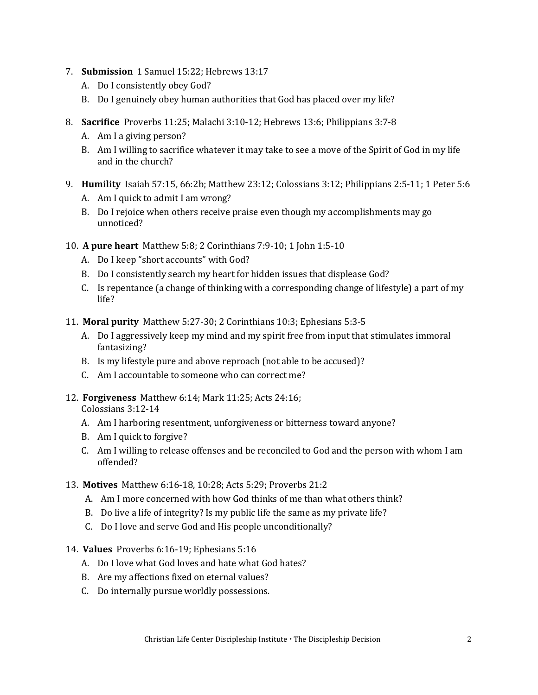- 7. **Submission** 1 Samuel 15:22; Hebrews 13:17
	- A. Do I consistently obey God?
	- B. Do I genuinely obey human authorities that God has placed over my life?
- 8. **Sacrifice** Proverbs 11:25; Malachi 3:10-12; Hebrews 13:6; Philippians 3:7-8
	- A. Am I a giving person?
	- B. Am I willing to sacrifice whatever it may take to see a move of the Spirit of God in my life and in the church?
- 9. **Humility** Isaiah 57:15, 66:2b; Matthew 23:12; Colossians 3:12; Philippians 2:5-11; 1 Peter 5:6
	- A. Am I quick to admit I am wrong?
	- B. Do I rejoice when others receive praise even though my accomplishments may go unnoticed?
- 10. **A pure heart** Matthew 5:8; 2 Corinthians 7:9-10; 1 John 1:5-10
	- A. Do I keep "short accounts" with God?
	- B. Do I consistently search my heart for hidden issues that displease God?
	- C. Is repentance (a change of thinking with a corresponding change of lifestyle) a part of my life?
- 11. **Moral purity** Matthew 5:27-30; 2 Corinthians 10:3; Ephesians 5:3-5
	- A. Do I aggressively keep my mind and my spirit free from input that stimulates immoral fantasizing?
	- B. Is my lifestyle pure and above reproach (not able to be accused)?
	- C. Am I accountable to someone who can correct me?
- 12. **Forgiveness** Matthew 6:14; Mark 11:25; Acts 24:16;
	- Colossians 3:12-14
	- A. Am I harboring resentment, unforgiveness or bitterness toward anyone?
	- B. Am I quick to forgive?
	- C. Am I willing to release offenses and be reconciled to God and the person with whom I am offended?

## 13. **Motives** Matthew 6:16-18, 10:28; Acts 5:29; Proverbs 21:2

- A. Am I more concerned with how God thinks of me than what others think?
- B. Do live a life of integrity? Is my public life the same as my private life?
- C. Do I love and serve God and His people unconditionally?

## 14. **Values** Proverbs 6:16-19; Ephesians 5:16

- A. Do I love what God loves and hate what God hates?
- B. Are my affections fixed on eternal values?
- C. Do internally pursue worldly possessions.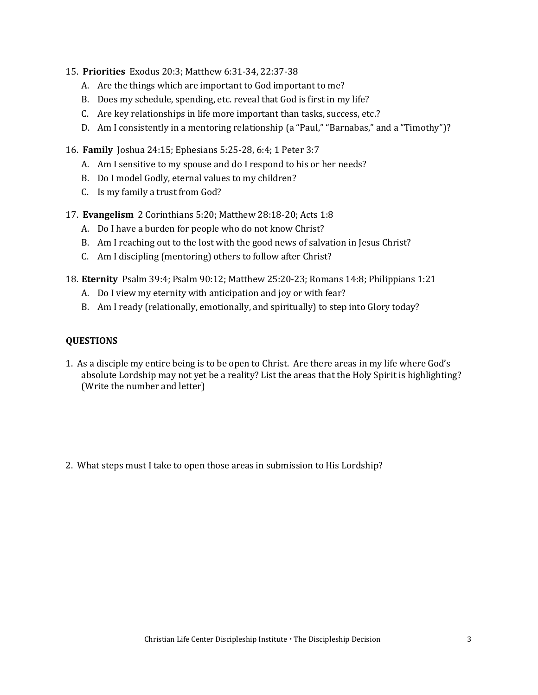- 15. **Priorities** Exodus 20:3; Matthew 6:31-34, 22:37-38
	- A. Are the things which are important to God important to me?
	- B. Does my schedule, spending, etc. reveal that God is first in my life?
	- C. Are key relationships in life more important than tasks, success, etc.?
	- D. Am I consistently in a mentoring relationship (a "Paul," "Barnabas," and a "Timothy")?
- 16. **Family** Joshua 24:15; Ephesians 5:25-28, 6:4; 1 Peter 3:7
	- A. Am I sensitive to my spouse and do I respond to his or her needs?
	- B. Do I model Godly, eternal values to my children?
	- C. Is my family a trust from God?
- 17. **Evangelism** 2 Corinthians 5:20; Matthew 28:18-20; Acts 1:8
	- A. Do I have a burden for people who do not know Christ?
	- B. Am I reaching out to the lost with the good news of salvation in Jesus Christ?
	- C. Am I discipling (mentoring) others to follow after Christ?
- 18. **Eternity** Psalm 39:4; Psalm 90:12; Matthew 25:20-23; Romans 14:8; Philippians 1:21
	- A. Do I view my eternity with anticipation and joy or with fear?
	- B. Am I ready (relationally, emotionally, and spiritually) to step into Glory today?

## **QUESTIONS**

- 1. As a disciple my entire being is to be open to Christ. Are there areas in my life where God's absolute Lordship may not yet be a reality? List the areas that the Holy Spirit is highlighting? (Write the number and letter)
- 2. What steps must I take to open those areas in submission to His Lordship?